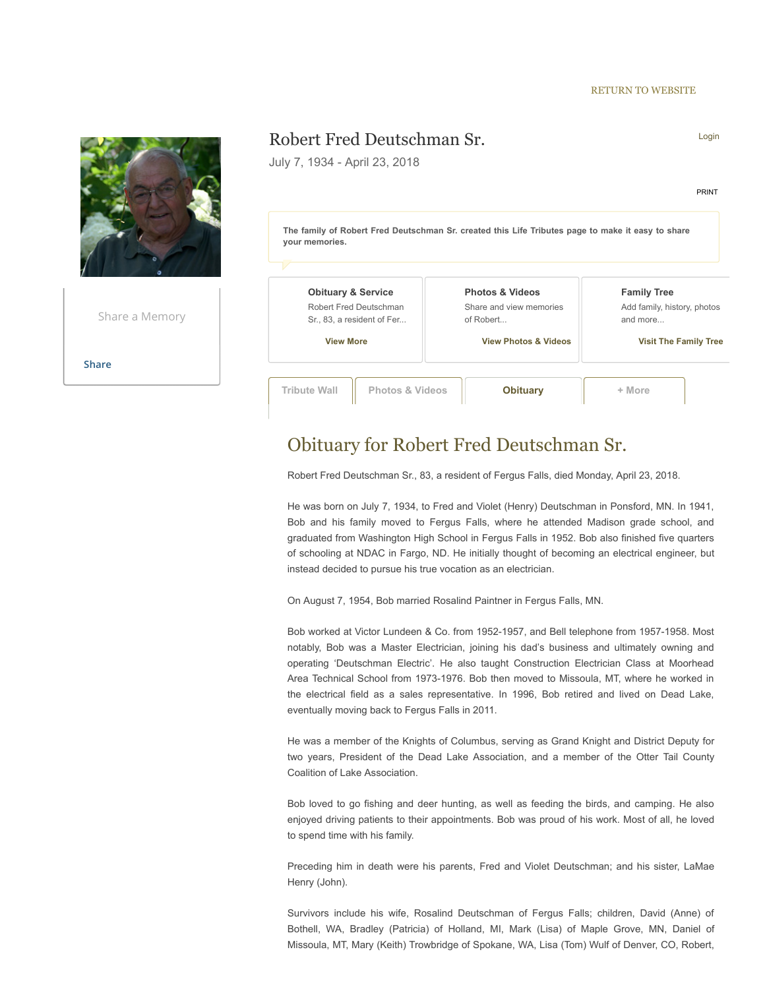#### [RETURN TO WEBSITE](https://www.olsonfuneralhome.com/obituaries)



## Obituary for Robert Fred Deutschman Sr.

Robert Fred Deutschman Sr., 83, a resident of Fergus Falls, died Monday, April 23, 2018.

He was born on July 7, 1934, to Fred and Violet (Henry) Deutschman in Ponsford, MN. In 1941, Bob and his family moved to Fergus Falls, where he attended Madison grade school, and graduated from Washington High School in Fergus Falls in 1952. Bob also finished five quarters of schooling at NDAC in Fargo, ND. He initially thought of becoming an electrical engineer, but instead decided to pursue his true vocation as an electrician.

On August 7, 1954, Bob married Rosalind Paintner in Fergus Falls, MN.

Bob worked at Victor Lundeen & Co. from 1952-1957, and Bell telephone from 1957-1958. Most notably, Bob was a Master Electrician, joining his dad's business and ultimately owning and operating 'Deutschman Electric'. He also taught Construction Electrician Class at Moorhead Area Technical School from 1973-1976. Bob then moved to Missoula, MT, where he worked in the electrical field as a sales representative. In 1996, Bob retired and lived on Dead Lake, eventually moving back to Fergus Falls in 2011.

He was a member of the Knights of Columbus, serving as Grand Knight and District Deputy for two years, President of the Dead Lake Association, and a member of the Otter Tail County Coalition of Lake Association.

Bob loved to go fishing and deer hunting, as well as feeding the birds, and camping. He also enjoyed driving patients to their appointments. Bob was proud of his work. Most of all, he loved to spend time with his family.

Preceding him in death were his parents, Fred and Violet Deutschman; and his sister, LaMae Henry (John).

Survivors include his wife, Rosalind Deutschman of Fergus Falls; children, David (Anne) of Bothell, WA, Bradley (Patricia) of Holland, MI, Mark (Lisa) of Maple Grove, MN, Daniel of Missoula, MT, Mary (Keith) Trowbridge of Spokane, WA, Lisa (Tom) Wulf of Denver, CO, Robert,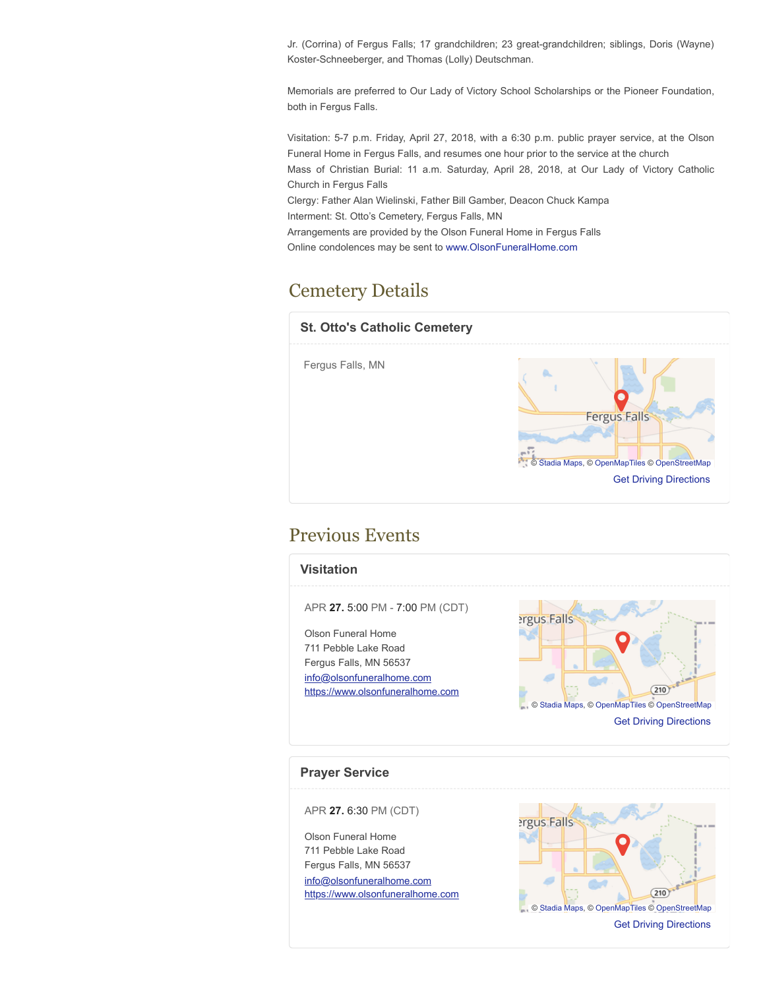Jr. (Corrina) of Fergus Falls; 17 grandchildren; 23 great-grandchildren; siblings, Doris (Wayne) Koster-Schneeberger, and Thomas (Lolly) Deutschman.

Memorials are preferred to Our Lady of Victory School Scholarships or the Pioneer Foundation, both in Fergus Falls.

Visitation: 5-7 p.m. Friday, April 27, 2018, with a 6:30 p.m. public prayer service, at the Olson Funeral Home in Fergus Falls, and resumes one hour prior to the service at the church Mass of Christian Burial: 11 a.m. Saturday, April 28, 2018, at Our Lady of Victory Catholic Church in Fergus Falls Clergy: Father Alan Wielinski, Father Bill Gamber, Deacon Chuck Kampa Interment: St. Otto's Cemetery, Fergus Falls, MN

Arrangements are provided by the Olson Funeral Home in Fergus Falls

Online condolences may be sent to [www.OlsonFuneralHome.com](http://www.olsonfuneralhome.com/)

# Cemetery Details



### Previous Events



#### **Prayer Service**

APR **27.** 6:30 PM (CDT)

Olson Funeral Home 711 Pebble Lake Road Fergus Falls, MN 56537 [info@olsonfuneralhome.com](mailto:info@olsonfuneralhome.com) [https://www.olsonfuneralhome.com](https://www.olsonfuneralhome.com/)